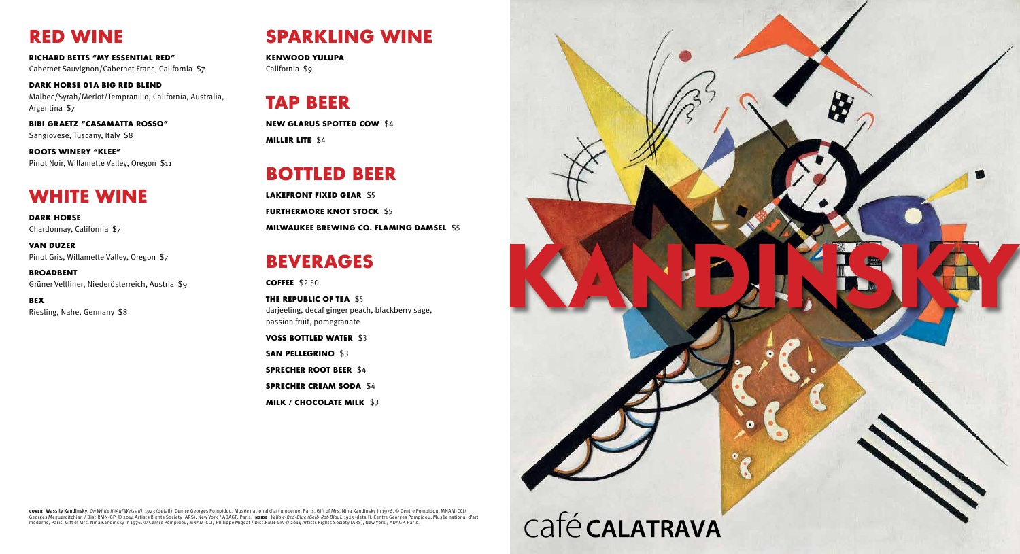# RED WINE

Richard Betts "My Essential Red" Cabernet Sauvignon/Cabernet Franc, California \$7

Dark Horse 01A Big Red Blend Malbec/Syrah/Merlot/Tempranillo, California, Australia, Argentina \$7

DARK HORSE Chardonnay, California \$7

Bibi Graetz "Casamatta Rosso" Sangiovese, Tuscany, Italy \$8

Roots Winery "Klee" Pinot Noir, Willamette Valley, Oregon \$11

## WHITE WINE

LAKEFRONT FIXED GEAR \$5 FURTHERMORE KNOT STOCK \$5 Milwaukee Brewing Co. Flaming Damsel \$5

Van Duzer Pinot Gris, Willamette Valley, Oregon \$7

> THE REPUBLIC OF TEA \$5 darjeeling, decaf ginger peach, blackberry sage, passion fruit, pomegranate

Broadbent Grüner Veltliner, Niederösterreich, Austria \$9

BEX Riesling, Nahe, Germany \$8

# SPARKLING WINE

kenwood Yulupa California \$9

# TAP BEER

New Glarus Spotted Cow \$4 Miller Lite \$4

# BOTTLED BEER

# BEVERAGES

**COFFEE \$2.50** 

Voss Bottled Water \$3 SAN PELLEGRINO \$3 Sprecher Root Beer \$4 Sprecher Cream Soda \$4 Milk / Chocolate Milk \$3



**covεr** Wassily Kandinsky, *On White II (Auf Weiss II)*, 1923 (detail). Centre Georges Pompidou, Musée national d'art moderne, Paris. Gift of Mrs. Nina Kandinsky in 1976. © Centre Pompidou, MNAM-CCI/<br>Georges Meguerditchian